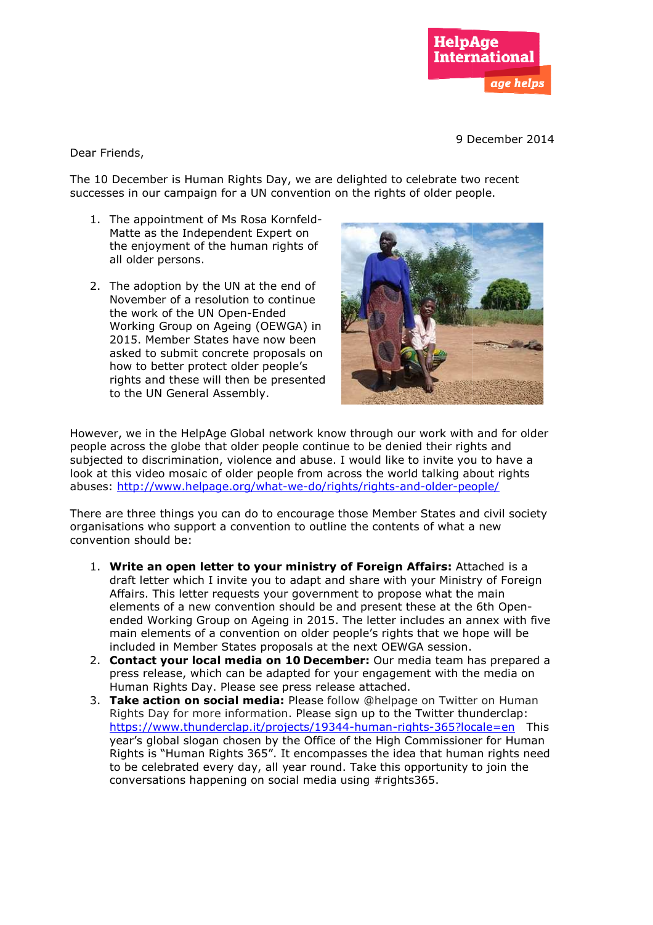

9 December 2014

Dear Friends,

The 10 December is Human Rights Day, we are delighted to celebrate two recent successes in our campaign for a UN convention on the rights of older people.

- 1. The appointment of Ms Rosa Kornfeld-Matte as the Independent Expert on the enjoyment of the human rights of all older persons.
- 2. The adoption by the UN at the end of November of a resolution to continue the work of the UN Open-Ended Working Group on Ageing (OEWGA) in Working Group on Ageing (OEWGA) in<br>2015. Member States have now been asked to submit concrete proposals on how to better protect older people's rights and these will then be presented to the UN General Assembly.



However, we in the HelpAge Global network know through our work with and for older people across the globe that older people continue to be denied their rights and subjected to discrimination, violence and abuse. I would like to invite you to have a look at this video mosaic of older people from across the world talking about rights abuses: <u>http://www.helpage.org/what-we-do/rights/rights-and-older-people/</u> ur work with and for olutied their rights and<br>to invite you to have a<br>rld talking about rights<br>and-older-people/<br>er States and civil sociants of what a new<br>**Affairs:** Attached is a<br>your Ministry of Foreig<br>ose what the main

There are three things you can do to encourage those Member States and civil society organisations who support a convention to outline the contents of what a new convention should be:

- 1. **Write an open letter to your ministry of Foreign Affairs Affairs:** Attached is a draft letter which I invite you to adapt and share with your Ministry of Foreign Affairs. This letter requests your government to propose what the main elements of a new convention should be and present these at the 6th Open ended Working Group on Ageing in 2015. The letter includes an annex with five main elements of a convention on older people's rights that we hope will be included in Member States proposals at the next OEWGA session.
- 2. **Contact your local media media on 10 December:** Our media team has prepared a press release, which can be adapted for your engagement with the media on Human Rights Day. Please see press release attached. ended Working Group on Ageing in 2015. The letter includes an annex with five<br>main elements of a convention on older people's rights that we hope will be<br>included in Member States proposals at the next OEWGA session.<br>**Cont**
- 3. Take action on social media: Please follow @helpage on Twitter on Human Rights Day for more information. Please sign up to the Twitter thunderclap: year's global slogan chosen by the Office of the High Commissioner for Human Rights is "Human Rights 365". It encompasses the idea that human rights need to be celebrated every day, all year round. Take this opportunity to join the conversations happening on social media using #rights365.